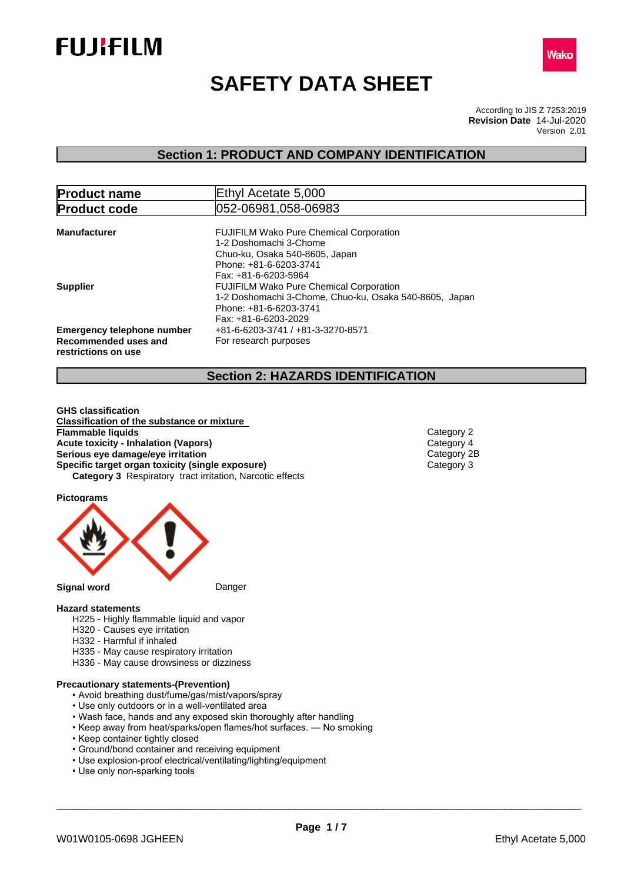



# **SAFETY DATA SHEET**

According to JIS Z 7253:2019 Version 2.01 **Revision Date** 14-Jul-2020

### **Section 1: PRODUCT AND COMPANY IDENTIFICATION**

| <b>Product name</b>                                                              | Ethyl Acetate 5,000                                                                                                                                        |  |  |  |
|----------------------------------------------------------------------------------|------------------------------------------------------------------------------------------------------------------------------------------------------------|--|--|--|
| <b>Product code</b>                                                              | 052-06981,058-06983                                                                                                                                        |  |  |  |
| <b>Manufacturer</b>                                                              | <b>FUJIFILM Wako Pure Chemical Corporation</b><br>1-2 Doshomachi 3-Chome<br>Chuo-ku, Osaka 540-8605, Japan<br>Phone: +81-6-6203-3741                       |  |  |  |
| <b>Supplier</b>                                                                  | Fax: +81-6-6203-5964<br><b>FUJIFILM Wako Pure Chemical Corporation</b><br>1-2 Doshomachi 3-Chome, Chuo-ku, Osaka 540-8605, Japan<br>Phone: +81-6-6203-3741 |  |  |  |
| <b>Emergency telephone number</b><br>Recommended uses and<br>restrictions on use | Fax: +81-6-6203-2029<br>+81-6-6203-3741 / +81-3-3270-8571<br>For research purposes                                                                         |  |  |  |

### **Section 2: HAZARDS IDENTIFICATION**

**GHS classification Classification of the substance or mixture Acute toxicity - Inhalation (Vapors)**<br> **Serious eye damage/eye irritation**<br>
Category 2B **Serious eye damage/eye irritation**<br> **Specific target organ toxicity (single exposure)**<br>
Category 3 **Specific target organ toxicity (single exposure) Category 3** Respiratory tract irritation, Narcotic effects **Flammable liquids** Category 2

**Pictograms**



#### **Hazard statements**

- H225 Highly flammable liquid and vapor
- H320 Causes eye irritation
- H332 Harmful if inhaled
- H335 May cause respiratory irritation
- H336 May cause drowsiness or dizziness

#### **Precautionary statements-(Prevention)**

- Avoid breathing dust/fume/gas/mist/vapors/spray
- Use only outdoors or in a well-ventilated area
- Wash face, hands and any exposed skin thoroughly after handling
- Keep away from heat/sparks/open flames/hot surfaces. No smoking
- Keep container tightly closed
- Ground/bond container and receiving equipment
- Use explosion-proof electrical/ventilating/lighting/equipment
- Use only non-sparking tools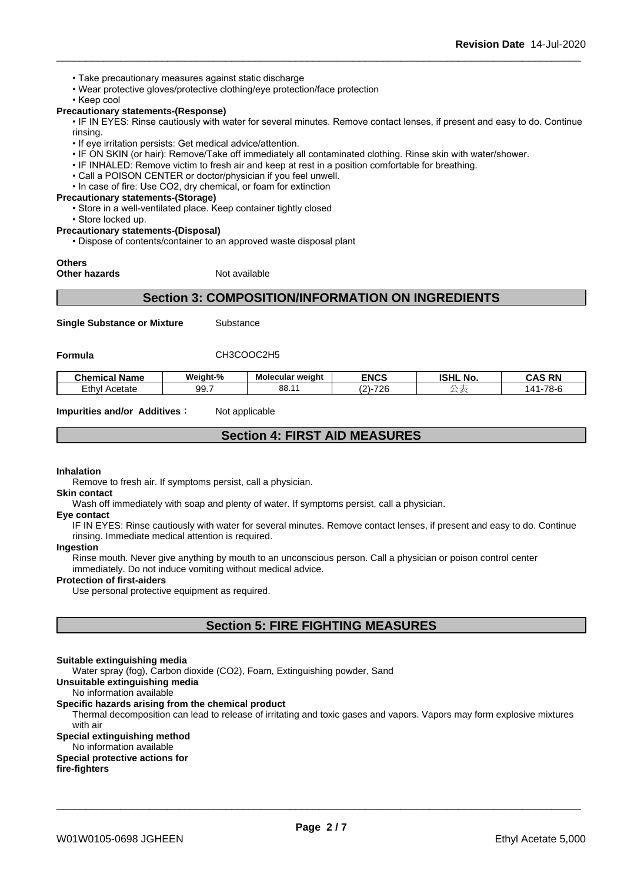- Take precautionary measures against static discharge
- Wear protective gloves/protective clothing/eye protection/face protection
- Keep cool

#### **Precautionary statements-(Response)**

• IF IN EYES: Rinse cautiously with water for several minutes. Remove contact lenses, if present and easy to do. Continue rinsing.

- If eye irritation persists: Get medical advice/attention.
- IF ON SKIN (or hair): Remove/Take off immediately all contaminated clothing. Rinse skin with water/shower.
- IF INHALED: Remove victim to fresh air and keep at rest in a position comfortable for breathing.
- Call a POISON CENTER or doctor/physician if you feel unwell.
- In case of fire: Use CO2, dry chemical, or foam for extinction
- **Precautionary statements-(Storage)**
	- Store in a well-ventilated place. Keep container tightly closed
	- Store locked up.

**Precautionary statements-(Disposal)**

• Dispose of contents/container to an approved waste disposal plant

#### **Others**

**Other hazards** Not available

### **Section 3: COMPOSITION/INFORMATION ON INGREDIENTS**

**Single Substance or Mixture** Substance

#### **Formula** CH3COOC2H5

| ' Name<br>Chemical         | Weight-%         | - -<br>Molecular<br>* weiaht | <b>ENCS</b>                               | וניסו<br>. .<br>.NO<br>IƏNL | ™ Q N.<br>--        |
|----------------------------|------------------|------------------------------|-------------------------------------------|-----------------------------|---------------------|
| $\sim$<br>Ethvl<br>Acetate | ۵۵<br><b>JJ.</b> | oc<br>oo                     | $\overline{\phantom{a}}$<br>$\sim$<br>7 C |                             | $\overline{z}$<br>. |

**Impurities and/or Additives:** Not applicable

### **Section 4: FIRST AID MEASURES**

#### **Inhalation**

Remove to fresh air. If symptoms persist, call a physician.

#### **Skin contact**

Wash off immediately with soap and plenty of water. If symptoms persist, call a physician.

#### **Eye contact**

IF IN EYES: Rinse cautiously with water for several minutes. Remove contact lenses, if present and easy to do. Continue rinsing. Immediate medical attention is required.

#### **Ingestion**

Rinse mouth. Never give anything by mouth to an unconscious person. Call a physician or poison control center immediately. Do not induce vomiting without medical advice.

#### **Protection of first-aiders**

Use personal protective equipment as required.

### **Section 5: FIRE FIGHTING MEASURES**

#### **Suitable extinguishing media**

Water spray (fog), Carbon dioxide (CO2), Foam, Extinguishing powder, Sand

### **Unsuitable extinguishing media**

### No information available

#### **Specific hazards arising from the chemical product**

Thermal decomposition can lead to release of irritating and toxic gases and vapors. Vapors may form explosive mixtures with air

### **Special extinguishing method**

No information available

### **Special protective actions for**

**fire-fighters**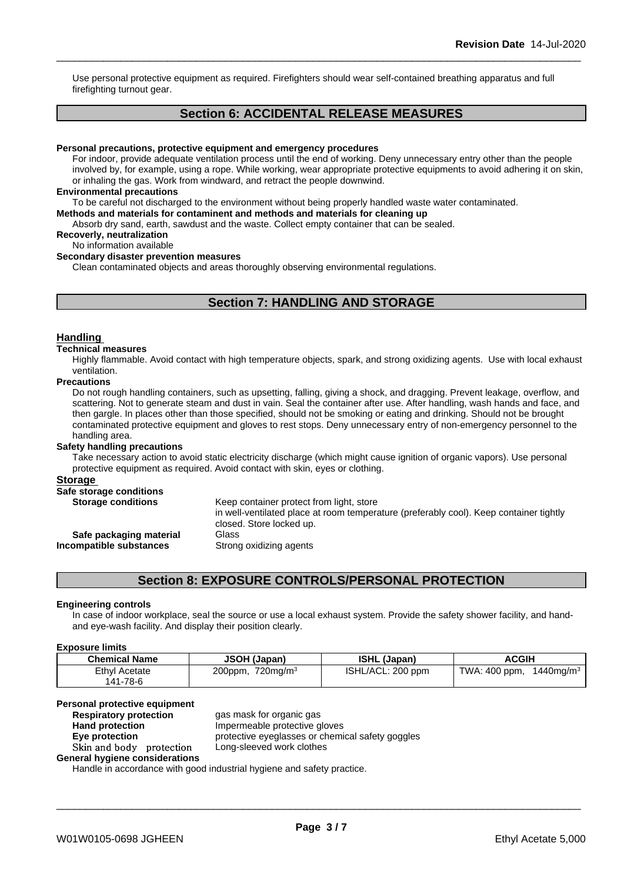Use personal protective equipment as required. Firefighters should wear self-contained breathing apparatus and full firefighting turnout gear.

### **Section 6: ACCIDENTAL RELEASE MEASURES**

#### **Personal precautions, protective equipment and emergency procedures**

For indoor, provide adequate ventilation process until the end of working. Deny unnecessary entry other than the people involved by, for example, using a rope. While working, wear appropriate protective equipments to avoid adhering it on skin, or inhaling the gas. Work from windward, and retract the people downwind.

#### **Environmental precautions**

To be careful not discharged to the environment without being properly handled waste water contaminated.

**Methods and materials for contaminent and methods and materials for cleaning up**

Absorb dry sand, earth, sawdust and the waste. Collect empty container that can be sealed.

### **Recoverly, neutralization**

No information available

#### **Secondary disaster prevention measures**

Clean contaminated objects and areas thoroughly observing environmental regulations.

### **Section 7: HANDLING AND STORAGE**

#### **Handling**

#### **Technical measures**

Highly flammable. Avoid contact with high temperature objects, spark, and strong oxidizing agents. Use with local exhaust ventilation.

#### **Precautions**

Do not rough handling containers, such as upsetting, falling, giving a shock, and dragging. Prevent leakage, overflow, and scattering. Not to generate steam and dust in vain. Seal the container after use. After handling, wash hands and face, and then gargle. In places other than those specified, should not be smoking or eating and drinking. Should not be brought contaminated protective equipment and gloves to rest stops. Deny unnecessary entry of non-emergency personnel to the handling area.

#### **Safety handling precautions**

Take necessary action to avoid static electricity discharge (which might cause ignition of organic vapors). Use personal protective equipment as required. Avoid contact with skin, eyes or clothing.

#### **Storage**

| Keep container protect from light, store                                                                           |
|--------------------------------------------------------------------------------------------------------------------|
| in well-ventilated place at room temperature (preferably cool). Keep container tightly<br>closed. Store locked up. |
| Glass                                                                                                              |
| Strong oxidizing agents                                                                                            |
|                                                                                                                    |

### **Section 8: EXPOSURE CONTROLS/PERSONAL PROTECTION**

#### **Engineering controls**

In case of indoor workplace, seal the source or use a local exhaust system. Provide the safety shower facility, and handand eye-wash facility. And display their position clearly.

#### **Exposure limits**

| <b>Chemical Name</b>             | <b>JSOH (Japan)</b>       | <b>ISHL (Japan)</b> | ACGIH                            |
|----------------------------------|---------------------------|---------------------|----------------------------------|
| <b>Ethyl Acetate</b><br>141-78-6 | $720$ ma/m $3$<br>200ppm, | ISHL/ACL: 200 ppm   | TWA: 400 ppm,<br>$1440$ mg/m $3$ |

### **Personal protective equipment**

| <b>Respiratory protection</b>  | gas mask for organic gas                         |
|--------------------------------|--------------------------------------------------|
| <b>Hand protection</b>         | Impermeable protective gloves                    |
| Eve protection                 | protective eyeglasses or chemical safety goggles |
| Skin and body protection       | Long-sleeved work clothes                        |
| General hygiene considerations |                                                  |

Handle in accordance with good industrial hygiene and safety practice.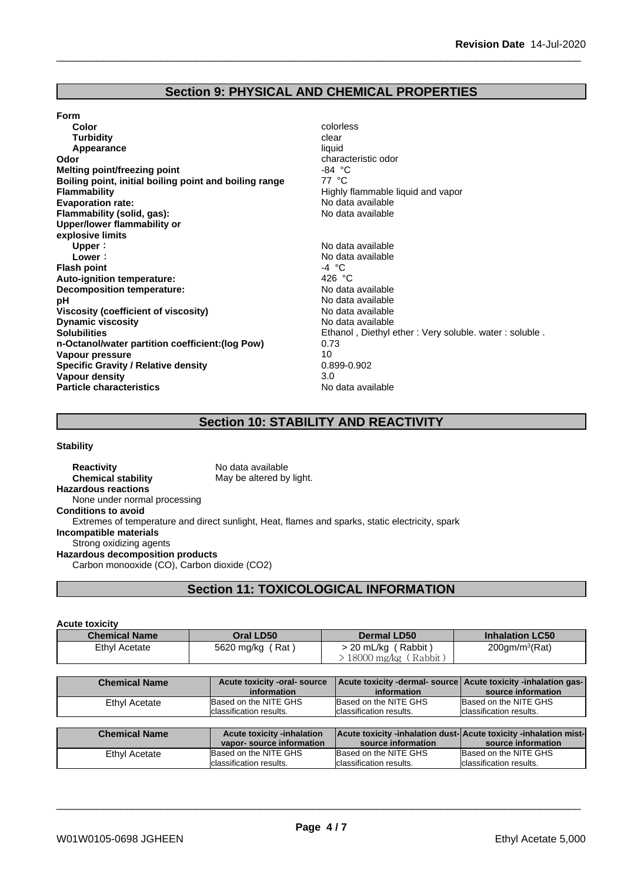### **Section 9: PHYSICAL AND CHEMICAL PROPERTIES**

#### **Form**

**Color** colorless **Color** colorless **Color** colorless **Color** colorless **Color Color Color Color Color Color Color Color Color Color Color Color Color Color Color Color Color Color Color Turbidity Clear Appearance** liquid **Odor**<br> **Odor** characteristic odor<br> **Melting point/freezing point**<br> **C** characteristic odor **Melting point/freezing point** -84 °C **Boiling point, initial boiling point and boiling range Flammability Flammability Highly flammable liquid and vapor Evaporation rate:**<br> **Example 19** Flammability (solid. gas):<br> **Example 20 Flammability (solid. gas): Flammability** (solid, gas): **Upper/lower flammability or explosive limits Upper** :<br> **Lower** :<br> **Lower** : **Flash point** -4 °C **Auto-ignition temperature:** 426 °C **Decomposition temperature: pH** No data available **Viscosity (coefficient of viscosity)** No data available **Dynamic viscosity**<br> **Solubilities**<br> **Solubilities**<br> **Solubilities n-Octanol/water partition coefficient:(log Pow)** 0.73 **Vapour pressure** 10<br> **Specific Gravity / Relative density** 10<br>
0.899-0.902 **Specific Gravity / Relative density Vapour density** 3.0<br> **Particle characteristics**<br> **Particle characteristics Particle characteristics** 

- 
- **Lower:** No data available Ethanol , Diethyl ether : Very soluble, water : soluble .

### **Section 10: STABILITY AND REACTIVITY**

#### **Stability**

**Reactivity** No data available **Chemical stability** May be altered by light. **Hazardous reactions** None under normal processing **Conditions to avoid** Extremes of temperature and direct sunlight, Heat, flames and sparks, static electricity, spark **Incompatible materials** Strong oxidizing agents **Hazardous decomposition products** Carbon monooxide (CO), Carbon dioxide (CO2)

### **Section 11: TOXICOLOGICAL INFORMATION**

#### **Acute toxicity**

| <b>Chemical Name</b> | Oral LD50        | <b>Dermal LD50</b>         | <b>Inhalation LC50</b>     |
|----------------------|------------------|----------------------------|----------------------------|
| <b>Ethyl Acetate</b> | 5620 mg/kg (Rat) | (Rabbit)<br>> 20 mL/kg ( Γ | 200gm/m <sup>3</sup> (Rat) |
|                      |                  | $18000$ mg/kg (Rabbit)     |                            |

| <b>Chemical Name</b> | Acute toxicity -oral- source      | Acute toxicity -dermal- source Acute toxicity -inhalation gas-   |                          |
|----------------------|-----------------------------------|------------------------------------------------------------------|--------------------------|
|                      | information                       | information                                                      | source information       |
| Ethyl Acetate        | Based on the NITE GHS             | Based on the NITE GHS                                            | Based on the NITE GHS    |
|                      | classification results.           | classification results.                                          | Iclassification results. |
|                      |                                   |                                                                  |                          |
|                      |                                   |                                                                  |                          |
| <b>Chemical Name</b> | <b>Acute toxicity -inhalation</b> | Acute toxicity -inhalation dust-Acute toxicity -inhalation mist- |                          |
|                      | vapor-source information          | source information                                               | source information       |
| Ethyl Acetate        | Based on the NITE GHS             | Based on the NITE GHS                                            | Based on the NITE GHS    |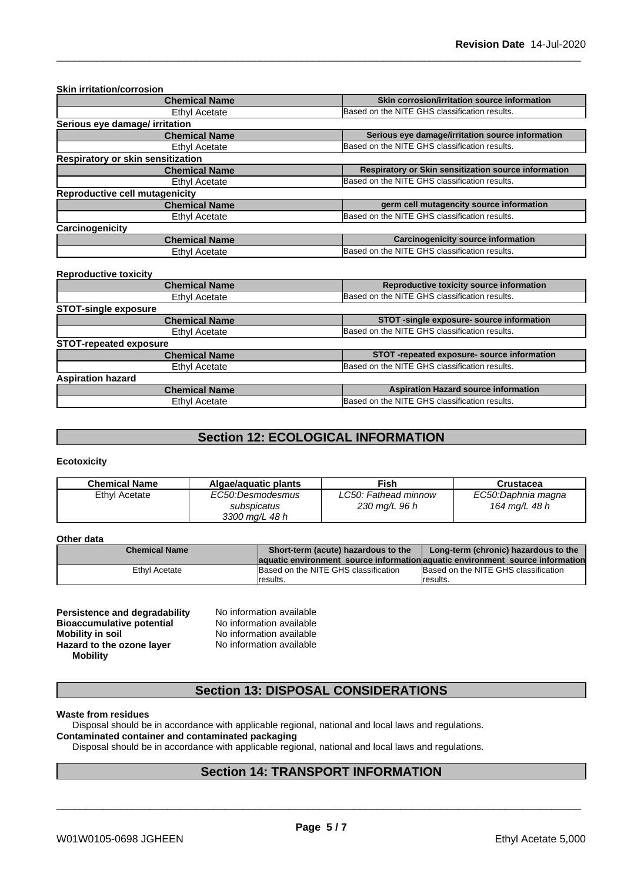| <b>Skin irritation/corrosion</b>  |                                                      |
|-----------------------------------|------------------------------------------------------|
| <b>Chemical Name</b>              | Skin corrosion/irritation source information         |
| <b>Ethyl Acetate</b>              | Based on the NITE GHS classification results.        |
| Serious eye damage/ irritation    |                                                      |
| <b>Chemical Name</b>              | Serious eye damage/irritation source information     |
| Ethyl Acetate                     | Based on the NITE GHS classification results.        |
| Respiratory or skin sensitization |                                                      |
| <b>Chemical Name</b>              | Respiratory or Skin sensitization source information |
| <b>Ethyl Acetate</b>              | Based on the NITE GHS classification results.        |
| Reproductive cell mutagenicity    |                                                      |
| <b>Chemical Name</b>              | germ cell mutagencity source information             |
| <b>Ethyl Acetate</b>              | Based on the NITE GHS classification results.        |
| Carcinogenicity                   |                                                      |
| <b>Chemical Name</b>              | <b>Carcinogenicity source information</b>            |
| Ethyl Acetate                     | Based on the NITE GHS classification results.        |

#### **Reproductive toxicity**

| <b>Chemical Name</b>          | Reproductive toxicity source information      |
|-------------------------------|-----------------------------------------------|
| Ethyl Acetate                 | Based on the NITE GHS classification results. |
| <b>STOT-single exposure</b>   |                                               |
| <b>Chemical Name</b>          | STOT -single exposure- source information     |
| Ethyl Acetate                 | Based on the NITE GHS classification results. |
| <b>STOT-repeated exposure</b> |                                               |
| <b>Chemical Name</b>          | STOT-repeated exposure- source information    |
| Ethyl Acetate                 | Based on the NITE GHS classification results. |
| <b>Aspiration hazard</b>      |                                               |
| <b>Chemical Name</b>          | <b>Aspiration Hazard source information</b>   |
| Ethyl Acetate                 | Based on the NITE GHS classification results. |
|                               |                                               |

### **Section 12: ECOLOGICAL INFORMATION**

#### **Ecotoxicity**

| <b>Chemical Name</b> | Algae/aguatic plants                              | Fish                                  | Crustacea                           |
|----------------------|---------------------------------------------------|---------------------------------------|-------------------------------------|
| Ethyl Acetate        | EC50:Desmodesmus<br>subspicatus<br>3300 mg/L 48 h | LC50: Fathead minnow<br>230 mg/L 96 h | EC50:Daphnia magna<br>164 mg/L 48 h |

#### **Other data**

| <b>Chemical Name</b> | Short-term (acute) hazardous to the                                            | Long-term (chronic) hazardous to the |
|----------------------|--------------------------------------------------------------------------------|--------------------------------------|
|                      | laquatic environment source information aquatic environment source information |                                      |
| Ethvl Acetate        | Based on the NITE GHS classification                                           | Based on the NITE GHS classification |
|                      | Iresults.                                                                      | Iresults.                            |

| <b>Persistence and degradability</b> | N |
|--------------------------------------|---|
| <b>Bioaccumulative potential</b>     | N |
| <b>Mobility in soil</b>              | N |
| Hazard to the ozone layer            | N |
| <b>Mobility</b>                      |   |

**No information available No information available Mobility in soil** No information available **Hazard to the ozone layer** No information available

### **Section 13: DISPOSAL CONSIDERATIONS**

#### **Waste from residues**

Disposal should be in accordance with applicable regional, national and local laws and regulations.

### **Contaminated container and contaminated packaging**

Disposal should be in accordance with applicable regional, national and local laws and regulations.

### **Section 14: TRANSPORT INFORMATION**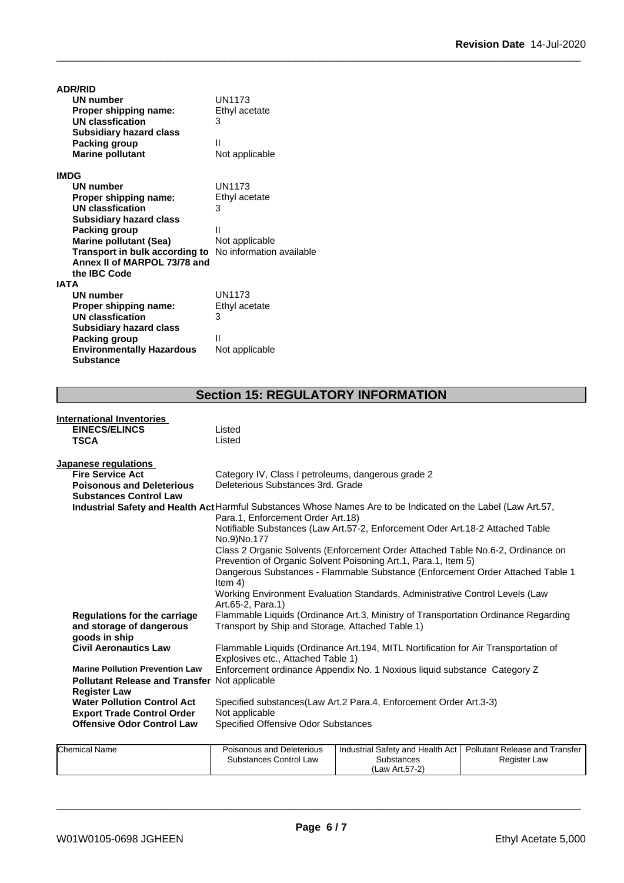| <b>ADR/RID</b>                                                 |                |
|----------------------------------------------------------------|----------------|
| <b>UN number</b>                                               | UN1173         |
| Proper shipping name:                                          | Ethyl acetate  |
| <b>UN classfication</b>                                        | 3              |
| <b>Subsidiary hazard class</b>                                 |                |
| Packing group                                                  | Ш              |
| <b>Marine pollutant</b>                                        | Not applicable |
| <b>IMDG</b>                                                    |                |
| <b>UN number</b>                                               | UN1173         |
| Proper shipping name:                                          | Ethyl acetate  |
| <b>UN classfication</b>                                        | 3              |
| <b>Subsidiary hazard class</b>                                 |                |
| Packing group                                                  | Ш              |
| <b>Marine pollutant (Sea)</b>                                  | Not applicable |
| <b>Transport in bulk according to</b> No information available |                |
| Annex II of MARPOL 73/78 and                                   |                |
| the <b>IBC</b> Code                                            |                |
| <b>IATA</b>                                                    |                |
| UN number                                                      | <b>UN1173</b>  |
| Proper shipping name:                                          | Ethyl acetate  |
| UN classfication                                               | 3              |
| <b>Subsidiary hazard class</b>                                 |                |
| Packing group                                                  | Ш              |
| <b>Environmentally Hazardous</b>                               | Not applicable |
| <b>Substance</b>                                               |                |

## **Section 15: REGULATORY INFORMATION**

| <b>International Inventories</b>                                |                                                                                                                                                    |
|-----------------------------------------------------------------|----------------------------------------------------------------------------------------------------------------------------------------------------|
| <b>EINECS/ELINCS</b>                                            | Listed                                                                                                                                             |
| <b>TSCA</b>                                                     | Listed                                                                                                                                             |
| Japanese regulations                                            |                                                                                                                                                    |
| <b>Fire Service Act</b>                                         | Category IV, Class I petroleums, dangerous grade 2                                                                                                 |
| <b>Poisonous and Deleterious</b>                                | Deleterious Substances 3rd. Grade                                                                                                                  |
| <b>Substances Control Law</b>                                   |                                                                                                                                                    |
|                                                                 | Industrial Safety and Health Act Harmful Substances Whose Names Are to be Indicated on the Label (Law Art.57,<br>Para.1, Enforcement Order Art.18) |
|                                                                 | Notifiable Substances (Law Art.57-2, Enforcement Oder Art.18-2 Attached Table<br>No.9)No.177                                                       |
|                                                                 | Class 2 Organic Solvents (Enforcement Order Attached Table No.6-2, Ordinance on                                                                    |
|                                                                 | Prevention of Organic Solvent Poisoning Art.1, Para.1, Item 5)                                                                                     |
|                                                                 | Dangerous Substances - Flammable Substance (Enforcement Order Attached Table 1<br>Item $4)$                                                        |
|                                                                 | Working Environment Evaluation Standards, Administrative Control Levels (Law<br>Art.65-2, Para.1)                                                  |
| <b>Regulations for the carriage</b><br>and storage of dangerous | Flammable Liquids (Ordinance Art.3, Ministry of Transportation Ordinance Regarding<br>Transport by Ship and Storage, Attached Table 1)             |
| goods in ship                                                   |                                                                                                                                                    |
| <b>Civil Aeronautics Law</b>                                    | Flammable Liquids (Ordinance Art.194, MITL Nortification for Air Transportation of<br>Explosives etc., Attached Table 1)                           |
| <b>Marine Pollution Prevention Law</b>                          | Enforcement ordinance Appendix No. 1 Noxious liquid substance Category Z                                                                           |
| <b>Pollutant Release and Transfer Not applicable</b>            |                                                                                                                                                    |
| <b>Register Law</b>                                             |                                                                                                                                                    |
| <b>Water Pollution Control Act</b>                              | Specified substances(Law Art.2 Para.4, Enforcement Order Art.3-3)                                                                                  |
| <b>Export Trade Control Order</b>                               | Not applicable                                                                                                                                     |
| <b>Offensive Odor Control Law</b>                               | <b>Specified Offensive Odor Substances</b>                                                                                                         |
|                                                                 |                                                                                                                                                    |

| <b>Chemical Name</b> | Poisonous and Deleterious | l Industrial Safety and Health Act I Pollutant Release and <sup>-</sup> | Transfer            |
|----------------------|---------------------------|-------------------------------------------------------------------------|---------------------|
|                      | Substances Control Law    | Substances<br>Law Art.57-2)                                             | <b>Register Law</b> |
|                      |                           |                                                                         |                     |